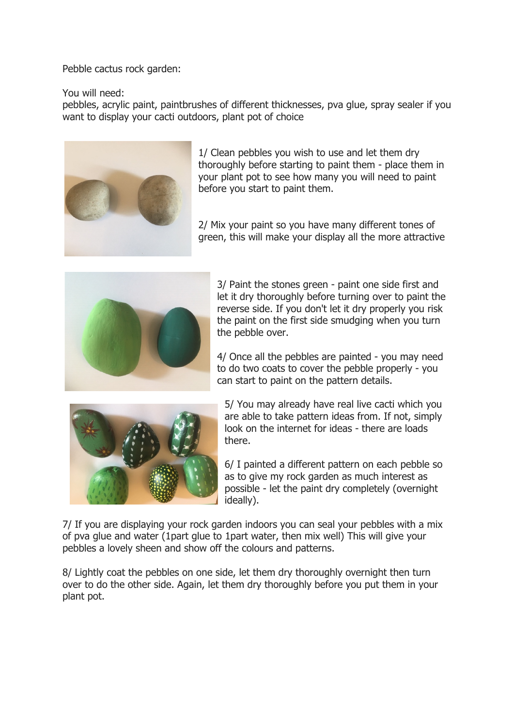Pebble cactus rock garden:

You will need:

pebbles, acrylic paint, paintbrushes of different thicknesses, pva glue, spray sealer if you want to display your cacti outdoors, plant pot of choice



1/ Clean pebbles you wish to use and let them dry thoroughly before starting to paint them - place them in your plant pot to see how many you will need to paint before you start to paint them.

2/ Mix your paint so you have many different tones of green, this will make your display all the more attractive



3/ Paint the stones green - paint one side first and let it dry thoroughly before turning over to paint the reverse side. If you don't let it dry properly you risk the paint on the first side smudging when you turn the pebble over.

4/ Once all the pebbles are painted - you may need to do two coats to cover the pebble properly - you can start to paint on the pattern details.



5/ You may already have real live cacti which you are able to take pattern ideas from. If not, simply look on the internet for ideas - there are loads there.

6/ I painted a different pattern on each pebble so as to give my rock garden as much interest as possible - let the paint dry completely (overnight ideally).

7/ If you are displaying your rock garden indoors you can seal your pebbles with a mix of pva glue and water (1part glue to 1part water, then mix well) This will give your pebbles a lovely sheen and show off the colours and patterns.

8/ Lightly coat the pebbles on one side, let them dry thoroughly overnight then turn over to do the other side. Again, let them dry thoroughly before you put them in your plant pot.